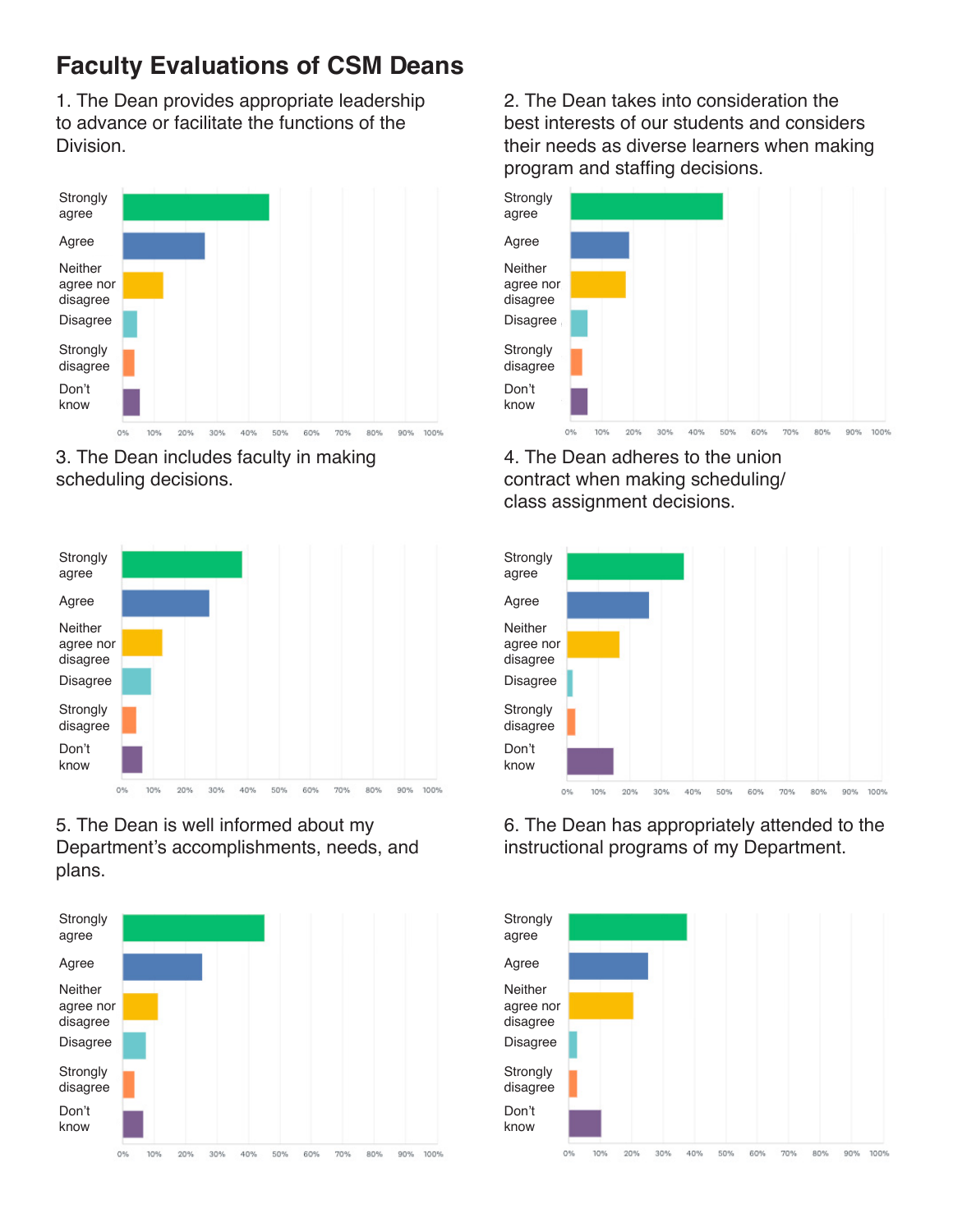1. The Dean provides appropriate leadership to advance or facilitate the functions of the **Division** 



3. The Dean includes faculty in making scheduling decisions.



5. The Dean is well informed about my Department's accomplishments, needs, and plans.



2. The Dean takes into consideration the best interests of our students and considers their needs as diverse learners when making program and staffing decisions.



4. The Dean adheres to the union contract when making scheduling/ class assignment decisions.



6. The Dean has appropriately attended to the instructional programs of my Department.

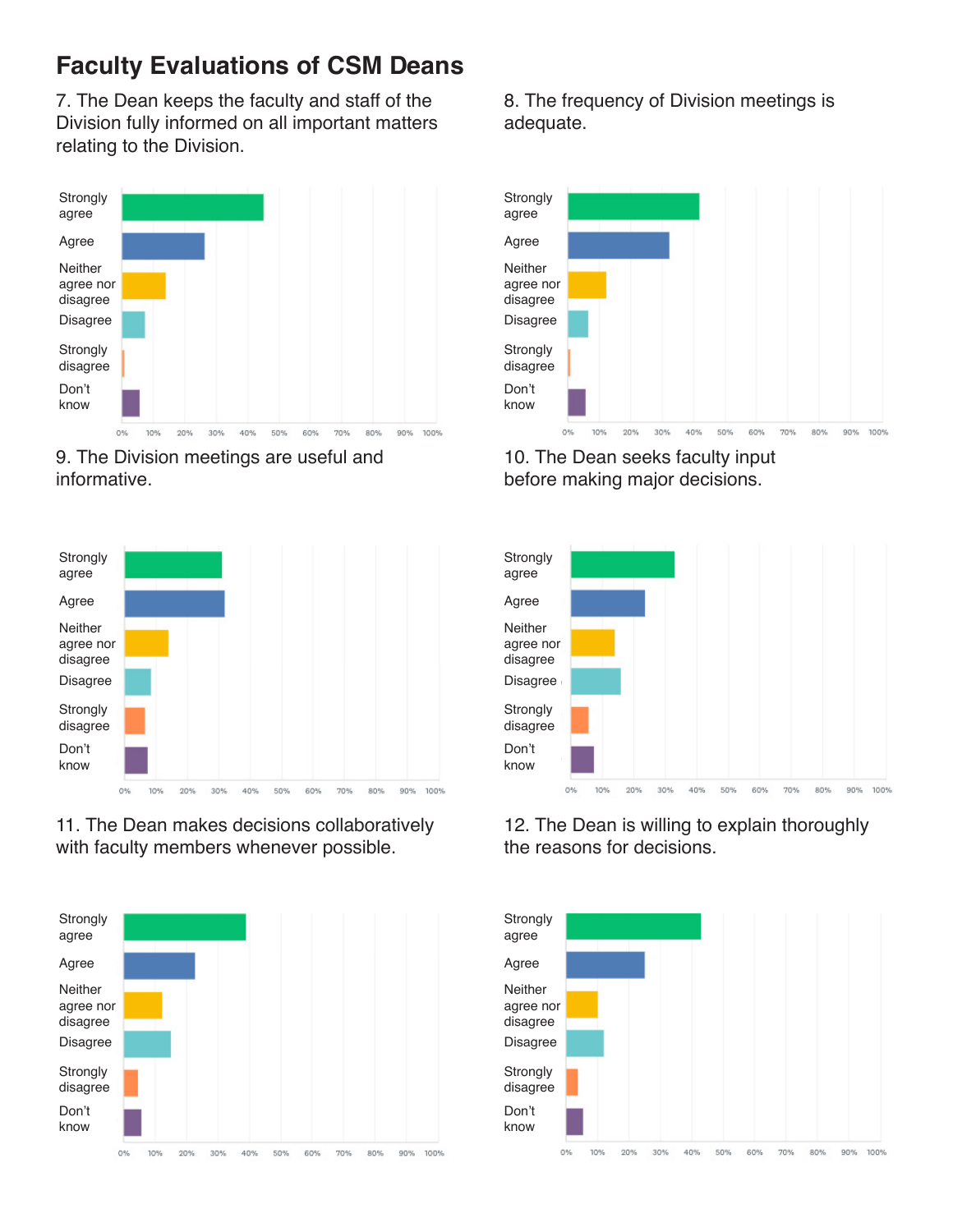7. The Dean keeps the faculty and staff of the Division fully informed on all important matters relating to the Division.



9. The Division meetings are useful and informative.



11. The Dean makes decisions collaboratively with faculty members whenever possible.



8. The frequency of Division meetings is adequate.



10. The Dean seeks faculty input before making major decisions.



12. The Dean is willing to explain thoroughly the reasons for decisions.

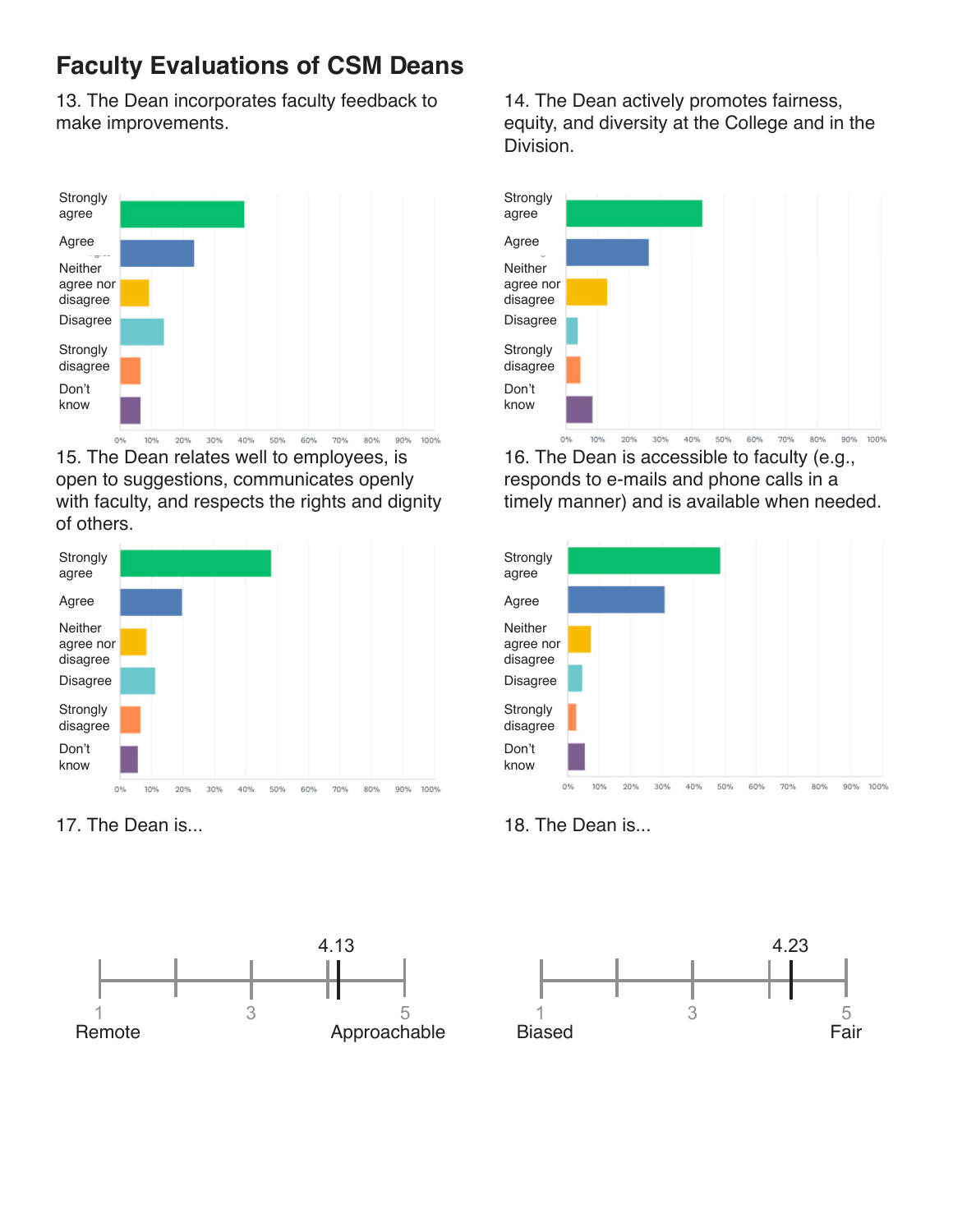13. The Dean incorporates faculty feedback to make improvements.



15. The Dean relates well to employees, is open to suggestions, communicates openly with faculty, and respects the rights and dignity of others.



17. The Dean is... 18. The Dean is...



14. The Dean actively promotes fairness, equity, and diversity at the College and in the Division.



16. The Dean is accessible to faculty (e.g., responds to e-mails and phone calls in a timely manner) and is available when needed.